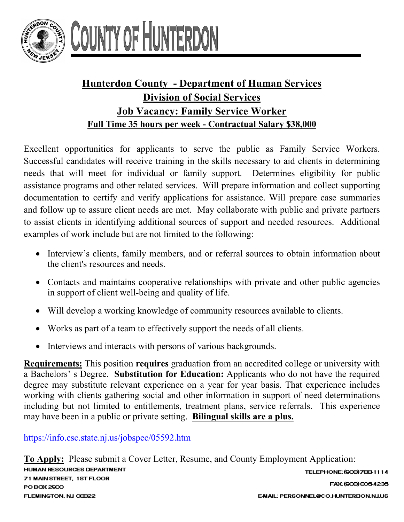

## OUNTY OF HUNTERL

## **Hunterdon County - Department of Human Services Division of Social Services Job Vacancy: Family Service Worker Full Time 35 hours per week - Contractual Salary \$38,000**

Excellent opportunities for applicants to serve the public as Family Service Workers. Successful candidates will receive training in the skills necessary to aid clients in determining needs that will meet for individual or family support. Determines eligibility for public assistance programs and other related services. Will prepare information and collect supporting documentation to certify and verify applications for assistance. Will prepare case summaries and follow up to assure client needs are met. May collaborate with public and private partners to assist clients in identifying additional sources of support and needed resources. Additional examples of work include but are not limited to the following:

- Interview's clients, family members, and or referral sources to obtain information about the client's resources and needs.
- Contacts and maintains cooperative relationships with private and other public agencies in support of client well-being and quality of life.
- Will develop a working knowledge of community resources available to clients.
- Works as part of a team to effectively support the needs of all clients.
- Interviews and interacts with persons of various backgrounds.

**Requirements:** This position **requires** graduation from an accredited college or university with a Bachelors' s Degree. **Substitution for Education:** Applicants who do not have the required degree may substitute relevant experience on a year for year basis. That experience includes working with clients gathering social and other information in support of need determinations including but not limited to entitlements, treatment plans, service referrals. This experience may have been in a public or private setting. **Bilingual skills are a plus.** 

<https://info.csc.state.nj.us/jobspec/05592.htm>

**To Apply:** Please submit a Cover Letter, Resume, and County Employment Application: **HUMAN RESOURCES DEPARTMENT** TELEPHONE: (908) 788-1114 71 MAIN STREET, 1ST FLOOR FAX: (908) 808-4238 PO BOX 2900 FLEMINGTON, NJ OEB22 E-MAIL: PERSONNEL@CO.HUNTERDON.NJ.US